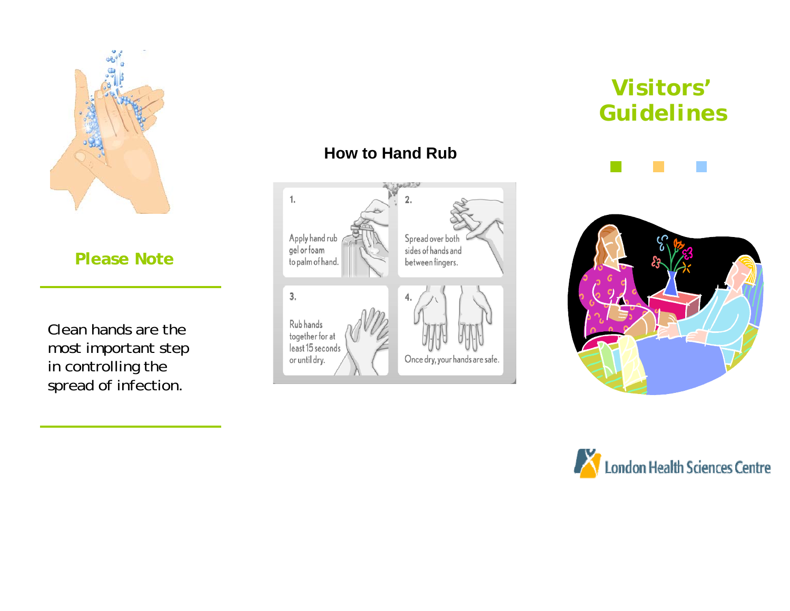

**Please Note** 

Clean hands are the most important step in controlling the spread of infection.

#### **How to Hand Rub**



# **Visitors' Guidelines**